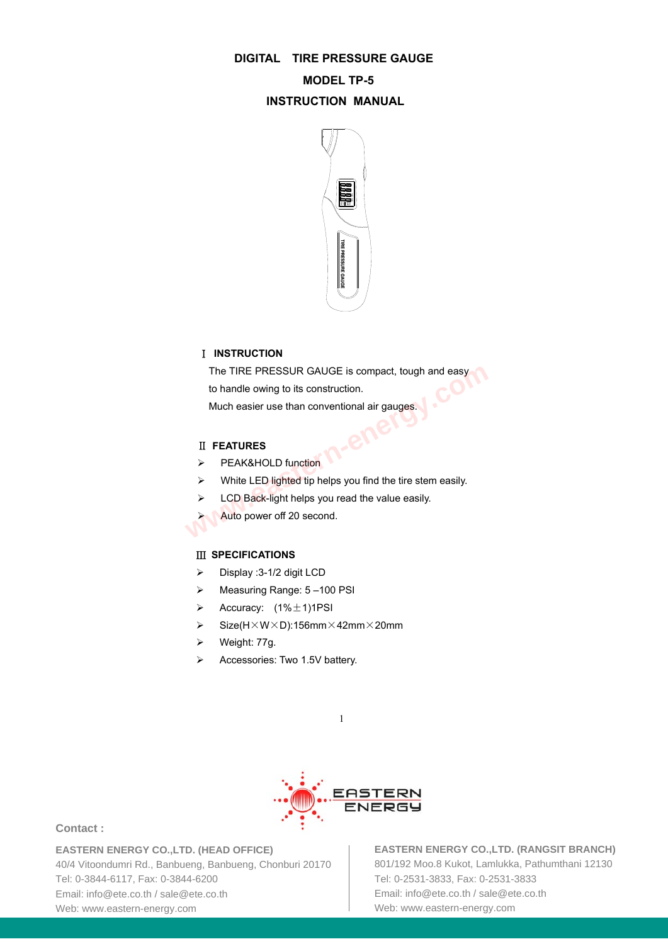## **DIGITAL TIRE PRESSURE GAUGE**

# **MODEL TP-5 INSTRUCTION MANUAL**



# Ⅰ **INSTRUCTION**

The TIRE PRESSUR GAUGE is compact, tough and easy to handle owing to its construction. The TIRE PRESSUR GAUGE is compact, tough and easy<br>to handle owing to its construction.<br>Much easier use than conventional air gauges.<br>II FEATURES<br>PEAK&HOLD function<br>White LED lighted tip helps you find the tire stem easily.

Much easier use than conventional air gauges.

### Ⅱ **FEATURES**

- > PEAK&HOLD function
- $\triangleright$  White LED lighted tip helps you find the tire stem easily.
- $\triangleright$  LCD Back-light helps you read the value easily.
- Auto power off 20 second.

#### Ⅲ **SPECIFICATIONS**

- $\triangleright$  Display :3-1/2 digit LCD
- Measuring Range: 5 –100 PSI
- $\triangleright$  Accuracy:  $(1\% \pm 1)1$ PSI
- $\triangleright$  Size(H $\times$ W $\times$ D):156mm $\times$ 42mm $\times$ 20mm
- Weight: 77g.
- Accessories: Two 1.5V battery.



1

## **Contact :**

**EASTERN ENERGY CO.,LTD. (HEAD OFFICE)**

40/4 Vitoondumri Rd., Banbueng, Banbueng, Chonburi 20170 Tel: 0-3844-6117, Fax: 0-3844-6200 Email: info@ete.co.th / sale@ete.co.th Web: www.eastern-energy.com

**EASTERN ENERGY CO.,LTD. (RANGSIT BRANCH)** 801/192 Moo.8 Kukot, Lamlukka, Pathumthani 12130 Tel: 0-2531-3833, Fax: 0-2531-3833 Email: info@ete.co.th / sale@ete.co.th Web: www.eastern-energy.com